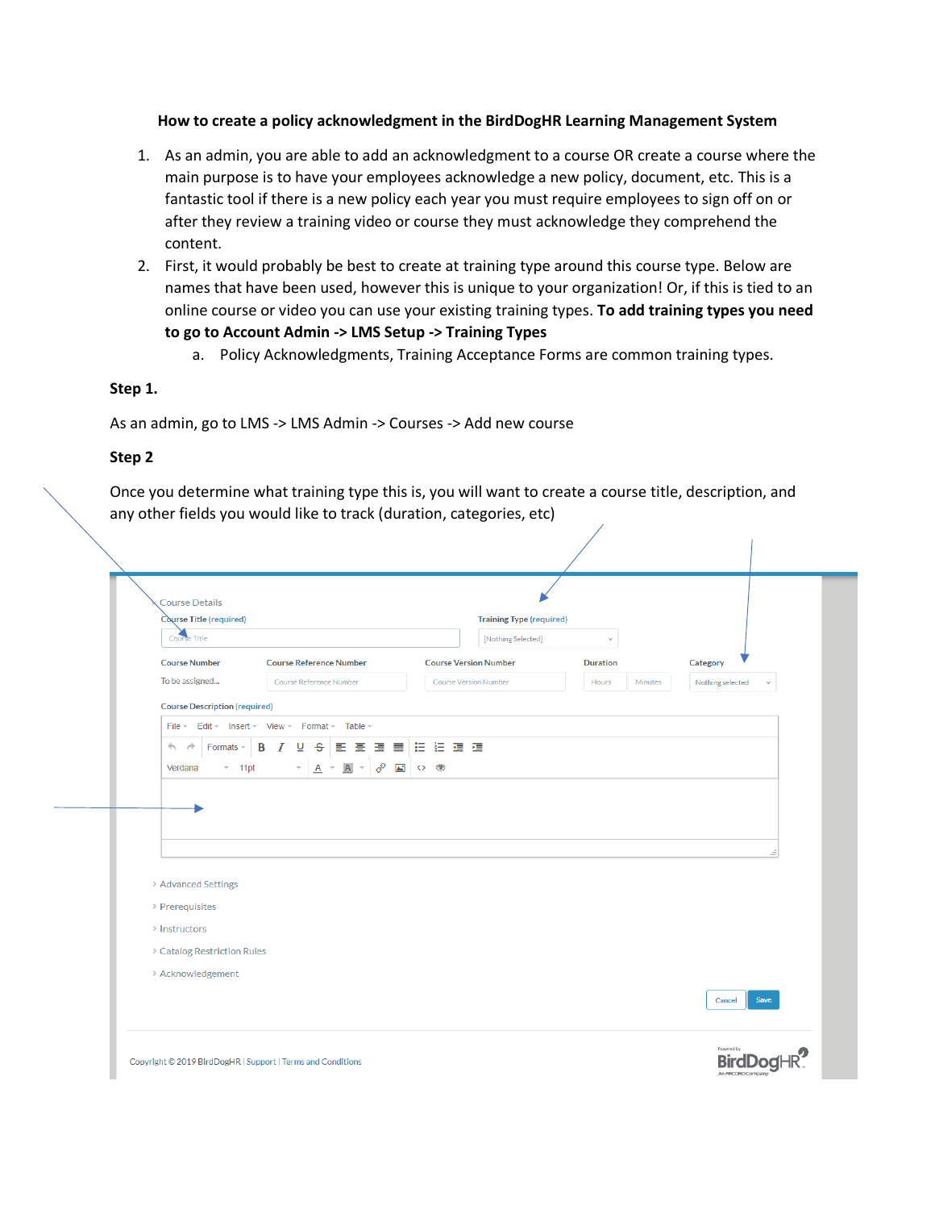### **How to create a policy acknowledgment in the BirdDogHR Learning Management System**

- 1. As an admin, you are able to add an acknowledgment to a course OR create a course where the main purpose is to have your employees acknowledge a new policy, document, etc. This is a fantastic tool if there is a new policy each year you must require employees to sign off on or after they review a training video or course they must acknowledge they comprehend the content.
- 2. First, it would probably be best to create at training type around this course type. Below are names that have been used, however this is unique to your organization! Or, if this is tied to an online course or video you can use your existing training types. **To add training types you need to go to Account Admin -> LMS Setup -> Training Types**
	- a. Policy Acknowledgments, Training Acceptance Forms are common training types.

## **Step 1.**

As an admin, go to LMS -> LMS Admin -> Courses -> Add new course

# **Step 2**

Once you determine what training type this is, you will want to create a course title, description, and any other fields you would like to track (duration, categories, etc)

 $\mathbf{I}$ 

|                                                         | Course Title (required)                        | <b>Training Type (required)</b> |                  |                                  |
|---------------------------------------------------------|------------------------------------------------|---------------------------------|------------------|----------------------------------|
| Course Title                                            |                                                | [Nothing Selected]              | $\checkmark$     |                                  |
| <b>Course Number</b>                                    | <b>Course Reference Number</b>                 | <b>Course Version Number</b>    | <b>Duration</b>  | Category                         |
| To be assigned                                          | Course Reference Number                        | <b>Course Version Number</b>    | Hours<br>Minutes | Nothing selected<br>$\checkmark$ |
| <b>Course Description (required)</b>                    |                                                |                                 |                  |                                  |
|                                                         | File = Edit = Insert = View = Format = Table = |                                 |                  |                                  |
| $\leftarrow$<br>Formats -<br>$\rightarrow$              | <b>B</b> <i>I</i> <b>U S E E E E E E E E</b>   |                                 |                  |                                  |
| $-11pt$<br>Verdana                                      | $A \times A$<br>8<br>$\mathbf{v}$ .            | $\sim$ 0                        |                  |                                  |
|                                                         |                                                |                                 |                  |                                  |
| > Advanced Settings<br>> Prerequisites<br>> Instructors |                                                |                                 |                  |                                  |
| > Catalog Restriction Rules                             |                                                |                                 |                  |                                  |
| > Acknowledgement                                       |                                                |                                 |                  |                                  |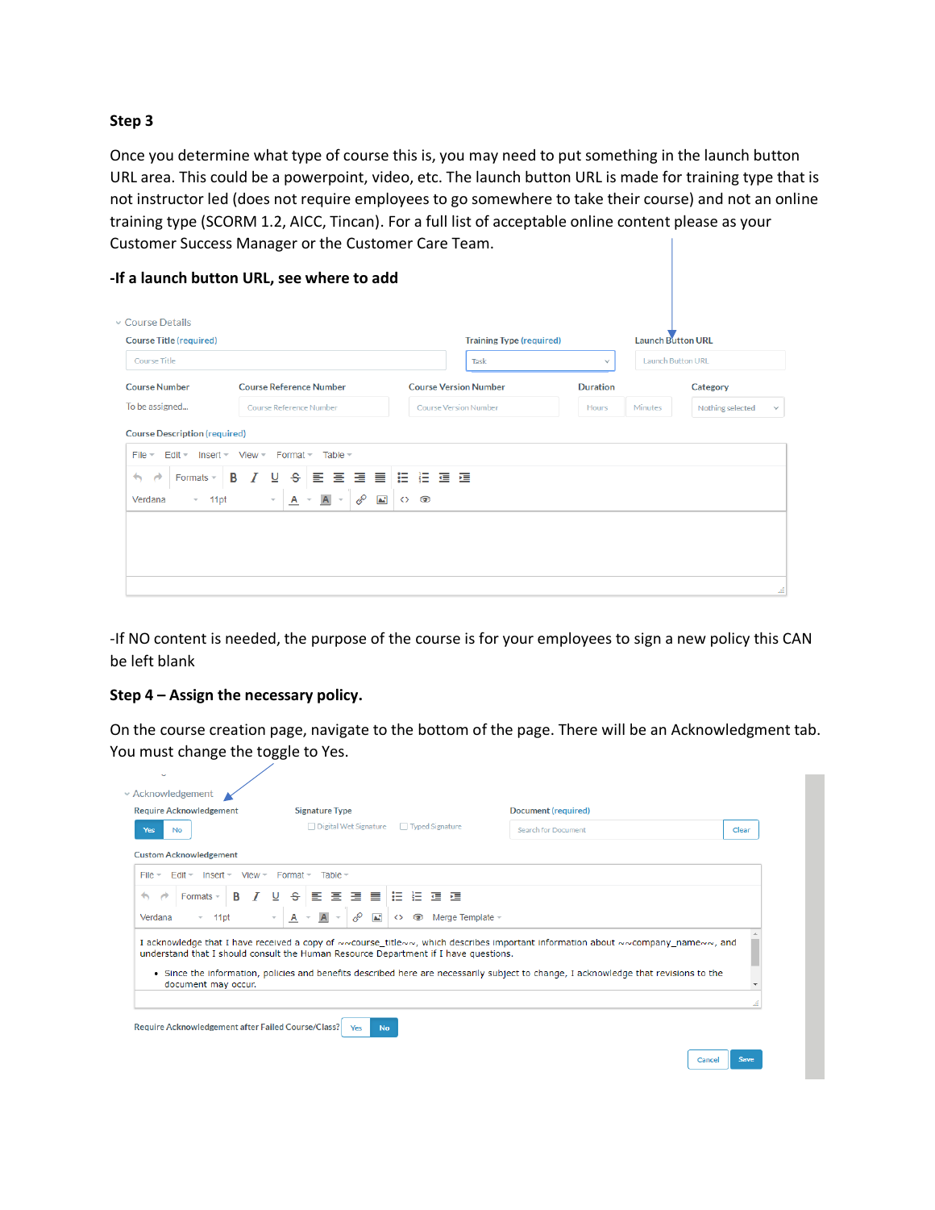### **Step 3**

Once you determine what type of course this is, you may need to put something in the launch button URL area. This could be a powerpoint, video, etc. The launch button URL is made for training type that is not instructor led (does not require employees to go somewhere to take their course) and not an online training type (SCORM 1.2, AICC, Tincan). For a full list of acceptable online content please as your Customer Success Manager or the Customer Care Team.

| ↓ Course Details<br><b>Course Title (required)</b> |                                                                          |                                                  | <b>Training Type (required)</b> |                 | <b>Launch Button URL</b><br><b>Launch Button URL</b> |                  |
|----------------------------------------------------|--------------------------------------------------------------------------|--------------------------------------------------|---------------------------------|-----------------|------------------------------------------------------|------------------|
| <b>Course Title</b>                                |                                                                          |                                                  | Task<br>$\checkmark$            |                 |                                                      |                  |
| <b>Course Number</b>                               | <b>Course Reference Number</b>                                           |                                                  | <b>Course Version Number</b>    | <b>Duration</b> |                                                      | Category         |
| To be assigned<br>Course Reference Number          |                                                                          |                                                  | <b>Course Version Number</b>    | <b>Hours</b>    | <b>Minutes</b>                                       | Nothing selected |
| <b>Course Description (required)</b>               |                                                                          |                                                  |                                 |                 |                                                      |                  |
| $File -$<br>$E$ dit $\sim$                         | Insert - View - Format - Table -                                         |                                                  |                                 |                 |                                                      |                  |
| $\leftarrow$<br>×<br>Formats $+$                   | ⊻<br>$\mathbf{s}$<br>B                                                   | 副画像 三つ 三つ 三つ 三つ 三つ 三つ 三つ 三つ 三つ 三つ 三つ 三つ          |                                 |                 |                                                      |                  |
| Verdana<br>$-11pt$                                 | E.<br>$A =$<br>$\overline{A}$<br>$\overline{\mathbf{v}}$<br>$\mathbf{v}$ | $\mathbf{r}$<br>$\leftrightarrow$ $\circledcirc$ |                                 |                 |                                                      |                  |
|                                                    |                                                                          |                                                  |                                 |                 |                                                      |                  |

-If NO content is needed, the purpose of the course is for your employees to sign a new policy this CAN be left blank

#### **Step 4 – Assign the necessary policy.**

On the course creation page, navigate to the bottom of the page. There will be an Acknowledgment tab. You must change the toggle to Yes.

| □ Digital Wet Signature<br>□ Typed Signature<br><b>Search for Document</b><br>Clear<br>No<br>$F$ dit $\neq$<br>$Insert -$<br>$View =$<br>Format $\sim$<br>Table $=$<br>医连接自由性神经<br>B<br>-S-<br>Formats $\sim$<br>⊻<br>A<br>8<br>M<br>Merge Template -<br>☜<br>11 <sub>pt</sub><br>$\mathcal{L}$<br>⇔<br>A<br>• Since the information, policies and benefits described here are necessarily subject to change, I acknowledge that revisions to the<br>document may occur. | <b>Require Acknowledgement</b> | <b>Signature Type</b> | Document (required) |  |
|--------------------------------------------------------------------------------------------------------------------------------------------------------------------------------------------------------------------------------------------------------------------------------------------------------------------------------------------------------------------------------------------------------------------------------------------------------------------------|--------------------------------|-----------------------|---------------------|--|
| <b>Custom Acknowledgement</b><br>$File =$<br>ь                                                                                                                                                                                                                                                                                                                                                                                                                           | <b>Yes</b>                     |                       |                     |  |
|                                                                                                                                                                                                                                                                                                                                                                                                                                                                          |                                |                       |                     |  |
|                                                                                                                                                                                                                                                                                                                                                                                                                                                                          |                                |                       |                     |  |
| Verdana<br>I acknowledge that I have received a copy of ~~course_title~~, which describes important information about ~~company_name~~, and<br>understand that I should consult the Human Resource Department if I have questions.                                                                                                                                                                                                                                       |                                |                       |                     |  |
|                                                                                                                                                                                                                                                                                                                                                                                                                                                                          |                                |                       |                     |  |
|                                                                                                                                                                                                                                                                                                                                                                                                                                                                          |                                |                       |                     |  |
|                                                                                                                                                                                                                                                                                                                                                                                                                                                                          |                                |                       |                     |  |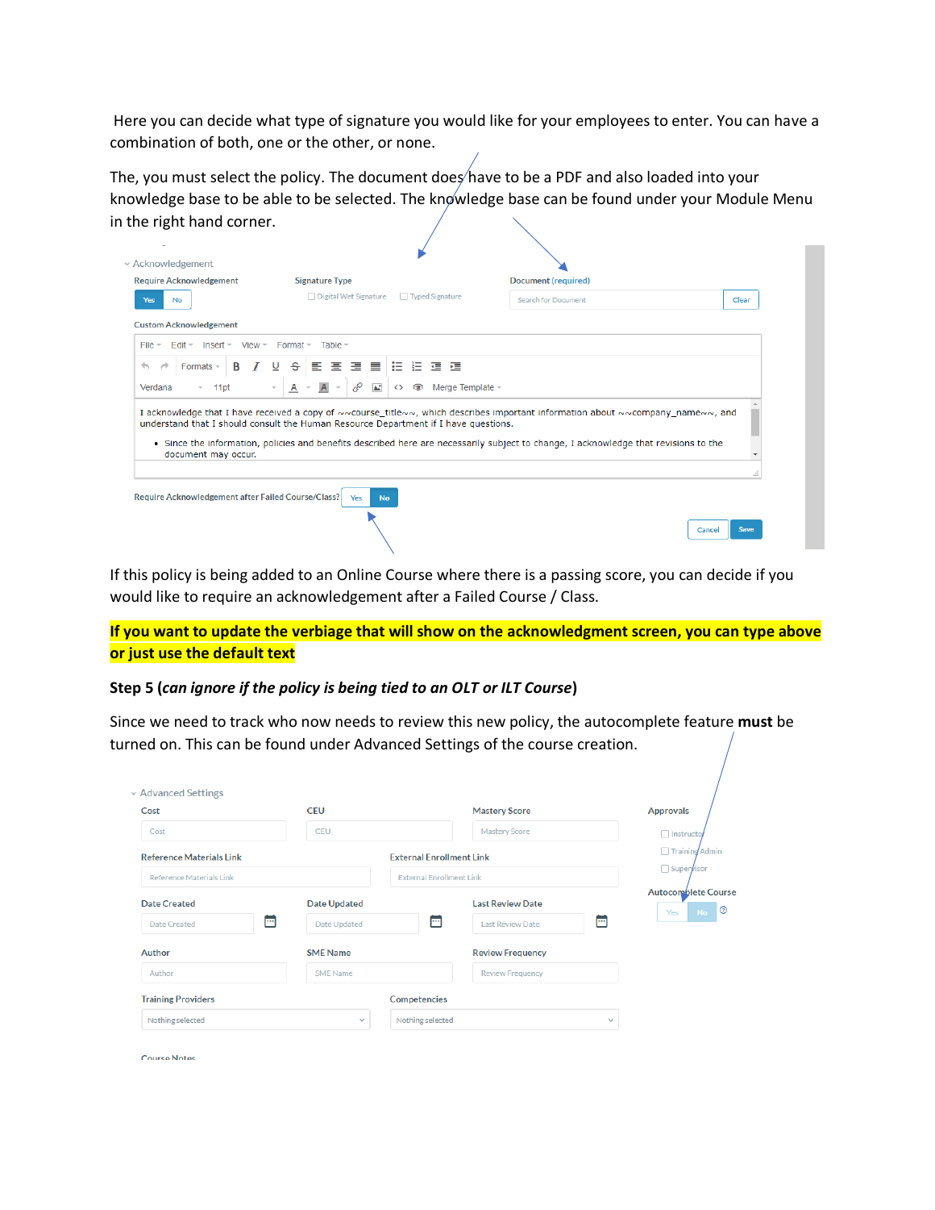Here you can decide what type of signature you would like for your employees to enter. You can have a combination of both, one or the other, or none.

The, you must select the policy. The document does have to be a PDF and also loaded into your knowledge base to be able to be selected. The knowledge base can be found under your Module Menu in the right hand corner.

| □ Digital Wet Signature<br>□ Typed Signature<br><b>Search for Document</b><br>Clear<br>No<br>$F$ dit $\neq$<br>View $-$ Format $-$<br>$Insert -$<br>Table $=$<br>'로 크 트(H) H 프 크<br>B<br>÷.<br>目<br>Formats -<br>A<br>8<br>$\overline{A}$<br>M<br>Merge Template $\sim$<br>A<br>☜<br>11 <sub>pt</sub><br>$\leftrightarrow$<br>• Since the information, policies and benefits described here are necessarily subject to change, I acknowledge that revisions to the<br>document may occur. | <b>Require Acknowledgement</b> | <b>Signature Type</b> | Document (required) |  |
|-------------------------------------------------------------------------------------------------------------------------------------------------------------------------------------------------------------------------------------------------------------------------------------------------------------------------------------------------------------------------------------------------------------------------------------------------------------------------------------------|--------------------------------|-----------------------|---------------------|--|
| <b>Custom Acknowledgement</b>                                                                                                                                                                                                                                                                                                                                                                                                                                                             | <b>Yes</b>                     |                       |                     |  |
|                                                                                                                                                                                                                                                                                                                                                                                                                                                                                           |                                |                       |                     |  |
| ь                                                                                                                                                                                                                                                                                                                                                                                                                                                                                         | $File -$                       |                       |                     |  |
| Verdana<br>I acknowledge that I have received a copy of ~~course_title~~, which describes important information about ~~company_name~~, and<br>understand that I should consult the Human Resource Department if I have questions.                                                                                                                                                                                                                                                        |                                |                       |                     |  |
|                                                                                                                                                                                                                                                                                                                                                                                                                                                                                           |                                |                       |                     |  |
|                                                                                                                                                                                                                                                                                                                                                                                                                                                                                           |                                |                       |                     |  |
|                                                                                                                                                                                                                                                                                                                                                                                                                                                                                           |                                |                       |                     |  |
| Require Acknowledgement after Failed Course/Class?<br>Yes<br><b>No</b>                                                                                                                                                                                                                                                                                                                                                                                                                    |                                |                       |                     |  |
| Save<br>Cancel                                                                                                                                                                                                                                                                                                                                                                                                                                                                            |                                |                       |                     |  |

If this policy is being added to an Online Course where there is a passing score, you can decide if you would like to require an acknowledgement after a Failed Course / Class.

**If you want to update the verbiage that will show on the acknowledgment screen, you can type above or just use the default text**

## **Step 5 (***can ignore if the policy is being tied to an OLT or ILT Course***)**

Since we need to track who now needs to review this new policy, the autocomplete feature **must** be turned on. This can be found under Advanced Settings of the course creation.

| <b>CEU</b><br>Cost<br><b>CEU</b><br>Cost |                     | <b>Mastery Score</b>            |                                         | <b>Approvals</b>                   |  |
|------------------------------------------|---------------------|---------------------------------|-----------------------------------------|------------------------------------|--|
|                                          |                     |                                 | Mastery Score                           | □ Instructor                       |  |
| <b>Reference Materials Link</b>          |                     | <b>External Enrollment Link</b> | Training Admin<br>□ Super <b>y</b> isor |                                    |  |
| Reference Materials Link                 |                     |                                 | <b>External Enrollment Link</b>         |                                    |  |
| <b>Date Created</b>                      | <b>Date Updated</b> |                                 | <b>Last Review Date</b>                 | Autocomplete Course<br>No 0<br>Yes |  |
| m<br>Date Created                        | Date Updated        |                                 | <b>Last Review Date</b>                 | A                                  |  |
| <b>SME Name</b><br>Author                |                     |                                 | <b>Review Frequency</b>                 |                                    |  |
| Author                                   | <b>SME Name</b>     |                                 | <b>Review Frequency</b>                 |                                    |  |
| <b>Training Providers</b>                |                     | <b>Competencies</b>             |                                         |                                    |  |
| Nothing selected                         | $\checkmark$        | Nothing selected                |                                         | $\checkmark$                       |  |

**Course Notes**